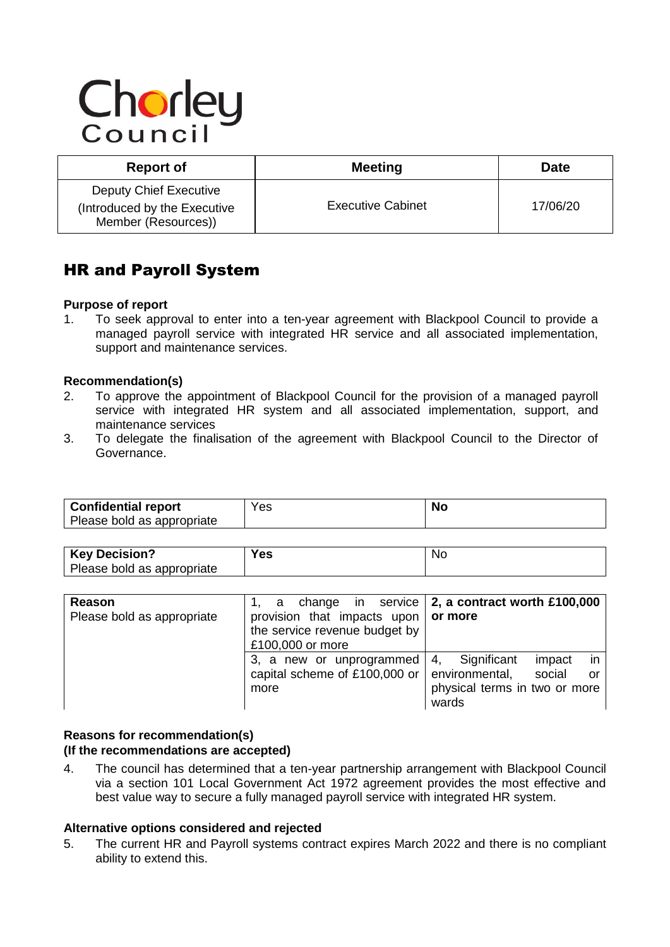# Chorley

| <b>Report of</b>                                                                     | <b>Meeting</b>           | <b>Date</b> |
|--------------------------------------------------------------------------------------|--------------------------|-------------|
| <b>Deputy Chief Executive</b><br>(Introduced by the Executive<br>Member (Resources)) | <b>Executive Cabinet</b> | 17/06/20    |

# HR and Payroll System

# **Purpose of report**

1. To seek approval to enter into a ten-year agreement with Blackpool Council to provide a managed payroll service with integrated HR service and all associated implementation, support and maintenance services.

# **Recommendation(s)**

- 2. To approve the appointment of Blackpool Council for the provision of a managed payroll service with integrated HR system and all associated implementation, support, and maintenance services
- 3. To delegate the finalisation of the agreement with Blackpool Council to the Director of Governance.

| Confidential report<br>Please bold as appropriate | Yes | <b>No</b> |
|---------------------------------------------------|-----|-----------|
|                                                   |     |           |

| <b>Key Decision?</b>       | $\mathbf{c}$<br>65 | <b>NC</b> |
|----------------------------|--------------------|-----------|
| Please bold as appropriate |                    |           |

| Reason                     | а                                           | change in service $\vert$ 2, a contract worth £100,000 |
|----------------------------|---------------------------------------------|--------------------------------------------------------|
| Please bold as appropriate | provision that impacts upon $\vert$ or more |                                                        |
|                            | the service revenue budget by               |                                                        |
|                            | £100,000 or more                            |                                                        |
|                            | 3, a new or unprogrammed                    | in<br>Significant<br>4.<br>impact                      |
|                            | capital scheme of £100,000 or               | environmental,<br>social<br>or                         |
|                            | more                                        | physical terms in two or more                          |
|                            |                                             | wards                                                  |

#### **Reasons for recommendation(s) (If the recommendations are accepted)**

4. The council has determined that a ten-year partnership arrangement with Blackpool Council via a section 101 Local Government Act 1972 agreement provides the most effective and best value way to secure a fully managed payroll service with integrated HR system.

# **Alternative options considered and rejected**

5. The current HR and Payroll systems contract expires March 2022 and there is no compliant ability to extend this.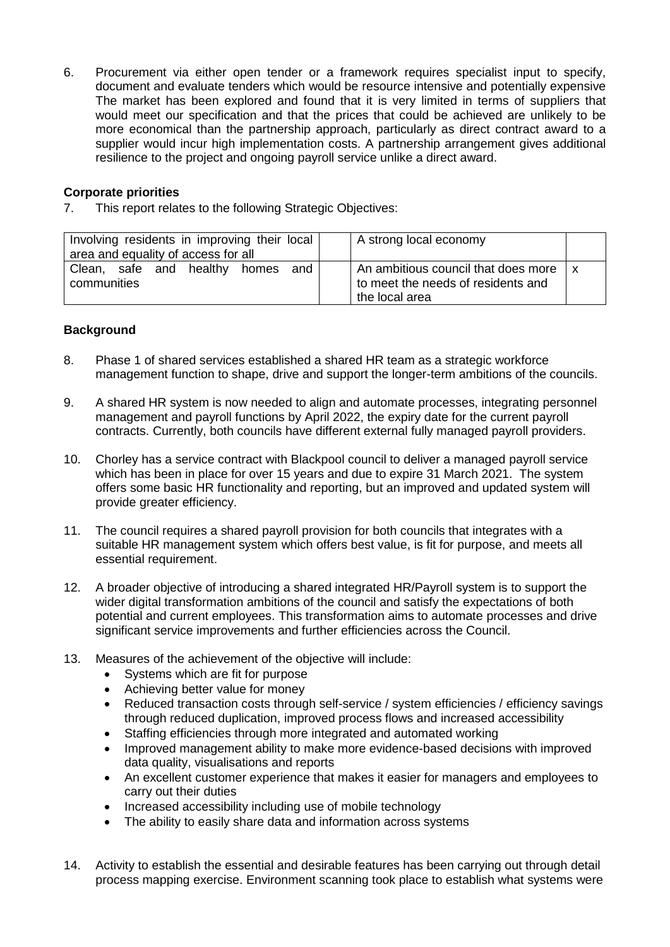6. Procurement via either open tender or a framework requires specialist input to specify, document and evaluate tenders which would be resource intensive and potentially expensive The market has been explored and found that it is very limited in terms of suppliers that would meet our specification and that the prices that could be achieved are unlikely to be more economical than the partnership approach, particularly as direct contract award to a supplier would incur high implementation costs. A partnership arrangement gives additional resilience to the project and ongoing payroll service unlike a direct award.

# **Corporate priorities**

7. This report relates to the following Strategic Objectives:

| Involving residents in improving their local<br>area and equality of access for all | A strong local economy                                                                        |  |
|-------------------------------------------------------------------------------------|-----------------------------------------------------------------------------------------------|--|
| Clean, safe and healthy<br>and<br>homes<br>communities                              | An ambitious council that does more<br>I to meet the needs of residents and<br>the local area |  |

# **Background**

- 8. Phase 1 of shared services established a shared HR team as a strategic workforce management function to shape, drive and support the longer-term ambitions of the councils.
- 9. A shared HR system is now needed to align and automate processes, integrating personnel management and payroll functions by April 2022, the expiry date for the current payroll contracts. Currently, both councils have different external fully managed payroll providers.
- 10. Chorley has a service contract with Blackpool council to deliver a managed payroll service which has been in place for over 15 years and due to expire 31 March 2021. The system offers some basic HR functionality and reporting, but an improved and updated system will provide greater efficiency.
- 11. The council requires a shared payroll provision for both councils that integrates with a suitable HR management system which offers best value, is fit for purpose, and meets all essential requirement.
- 12. A broader objective of introducing a shared integrated HR/Payroll system is to support the wider digital transformation ambitions of the council and satisfy the expectations of both potential and current employees. This transformation aims to automate processes and drive significant service improvements and further efficiencies across the Council.
- 13. Measures of the achievement of the objective will include:
	- Systems which are fit for purpose
	- Achieving better value for money
	- Reduced transaction costs through self-service / system efficiencies / efficiency savings through reduced duplication, improved process flows and increased accessibility
	- Staffing efficiencies through more integrated and automated working
	- Improved management ability to make more evidence-based decisions with improved data quality, visualisations and reports
	- An excellent customer experience that makes it easier for managers and employees to carry out their duties
	- Increased accessibility including use of mobile technology
	- The ability to easily share data and information across systems
- 14. Activity to establish the essential and desirable features has been carrying out through detail process mapping exercise. Environment scanning took place to establish what systems were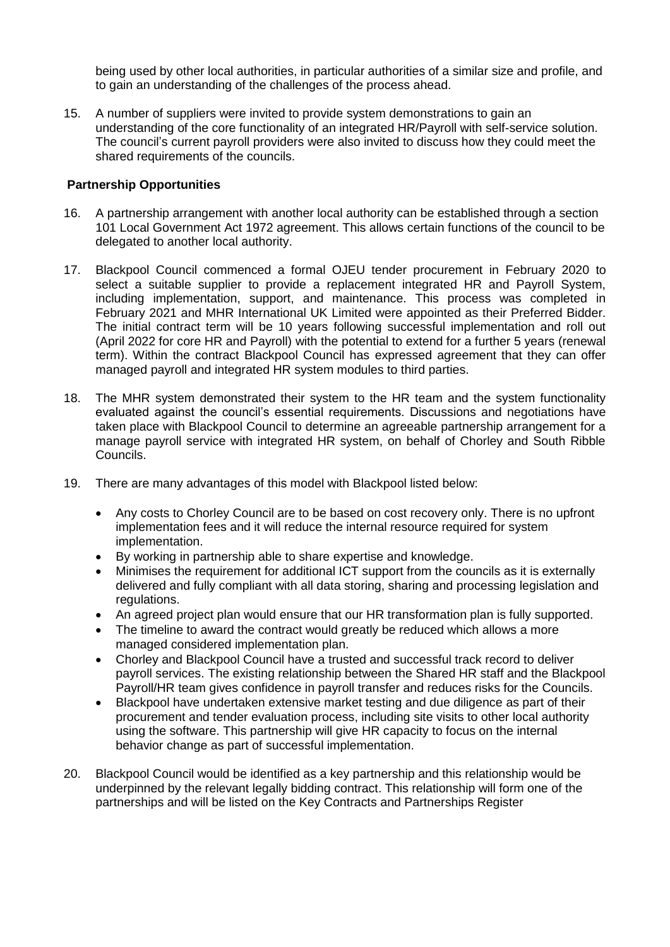being used by other local authorities, in particular authorities of a similar size and profile, and to gain an understanding of the challenges of the process ahead.

15. A number of suppliers were invited to provide system demonstrations to gain an understanding of the core functionality of an integrated HR/Payroll with self-service solution. The council's current payroll providers were also invited to discuss how they could meet the shared requirements of the councils.

# **Partnership Opportunities**

- 16. A partnership arrangement with another local authority can be established through a section 101 Local Government Act 1972 agreement. This allows certain functions of the council to be delegated to another local authority.
- 17. Blackpool Council commenced a formal OJEU tender procurement in February 2020 to select a suitable supplier to provide a replacement integrated HR and Payroll System, including implementation, support, and maintenance. This process was completed in February 2021 and MHR International UK Limited were appointed as their Preferred Bidder. The initial contract term will be 10 years following successful implementation and roll out (April 2022 for core HR and Payroll) with the potential to extend for a further 5 years (renewal term). Within the contract Blackpool Council has expressed agreement that they can offer managed payroll and integrated HR system modules to third parties.
- 18. The MHR system demonstrated their system to the HR team and the system functionality evaluated against the council's essential requirements. Discussions and negotiations have taken place with Blackpool Council to determine an agreeable partnership arrangement for a manage payroll service with integrated HR system, on behalf of Chorley and South Ribble Councils.
- 19. There are many advantages of this model with Blackpool listed below:
	- Any costs to Chorley Council are to be based on cost recovery only. There is no upfront implementation fees and it will reduce the internal resource required for system implementation.
	- By working in partnership able to share expertise and knowledge.
	- Minimises the requirement for additional ICT support from the councils as it is externally delivered and fully compliant with all data storing, sharing and processing legislation and regulations.
	- An agreed project plan would ensure that our HR transformation plan is fully supported.
	- The timeline to award the contract would greatly be reduced which allows a more managed considered implementation plan.
	- Chorley and Blackpool Council have a trusted and successful track record to deliver payroll services. The existing relationship between the Shared HR staff and the Blackpool Payroll/HR team gives confidence in payroll transfer and reduces risks for the Councils.
	- Blackpool have undertaken extensive market testing and due diligence as part of their procurement and tender evaluation process, including site visits to other local authority using the software. This partnership will give HR capacity to focus on the internal behavior change as part of successful implementation.
- 20. Blackpool Council would be identified as a key partnership and this relationship would be underpinned by the relevant legally bidding contract. This relationship will form one of the partnerships and will be listed on the Key Contracts and Partnerships Register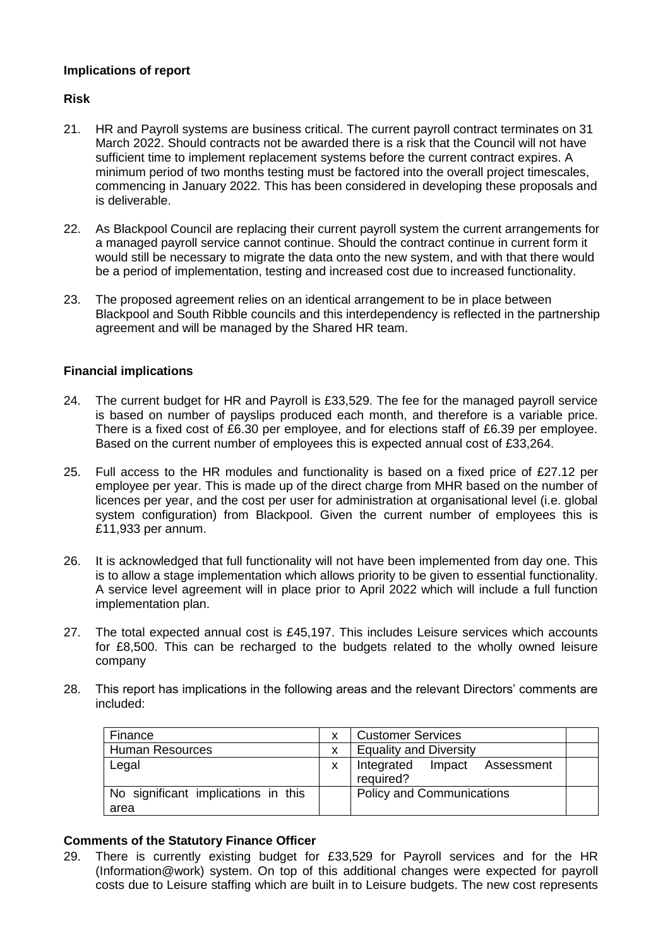# **Implications of report**

# **Risk**

- 21. HR and Payroll systems are business critical. The current payroll contract terminates on 31 March 2022. Should contracts not be awarded there is a risk that the Council will not have sufficient time to implement replacement systems before the current contract expires. A minimum period of two months testing must be factored into the overall project timescales, commencing in January 2022. This has been considered in developing these proposals and is deliverable.
- 22. As Blackpool Council are replacing their current payroll system the current arrangements for a managed payroll service cannot continue. Should the contract continue in current form it would still be necessary to migrate the data onto the new system, and with that there would be a period of implementation, testing and increased cost due to increased functionality.
- 23. The proposed agreement relies on an identical arrangement to be in place between Blackpool and South Ribble councils and this interdependency is reflected in the partnership agreement and will be managed by the Shared HR team.

# **Financial implications**

- 24. The current budget for HR and Payroll is £33,529. The fee for the managed payroll service is based on number of payslips produced each month, and therefore is a variable price. There is a fixed cost of £6.30 per employee, and for elections staff of £6.39 per employee. Based on the current number of employees this is expected annual cost of £33,264.
- 25. Full access to the HR modules and functionality is based on a fixed price of £27.12 per employee per year. This is made up of the direct charge from MHR based on the number of licences per year, and the cost per user for administration at organisational level (i.e. global system configuration) from Blackpool. Given the current number of employees this is £11,933 per annum.
- 26. It is acknowledged that full functionality will not have been implemented from day one. This is to allow a stage implementation which allows priority to be given to essential functionality. A service level agreement will in place prior to April 2022 which will include a full function implementation plan.
- 27. The total expected annual cost is £45,197. This includes Leisure services which accounts for £8,500. This can be recharged to the budgets related to the wholly owned leisure company
- 28. This report has implications in the following areas and the relevant Directors' comments are included:

| Finance                                     |   | <b>Customer Services</b>                  |  |
|---------------------------------------------|---|-------------------------------------------|--|
| <b>Human Resources</b>                      | x | <b>Equality and Diversity</b>             |  |
| Legal                                       | X | Integrated Impact Assessment<br>required? |  |
| No significant implications in this<br>area |   | <b>Policy and Communications</b>          |  |

# **Comments of the Statutory Finance Officer**

29. There is currently existing budget for £33,529 for Payroll services and for the HR (Information@work) system. On top of this additional changes were expected for payroll costs due to Leisure staffing which are built in to Leisure budgets. The new cost represents